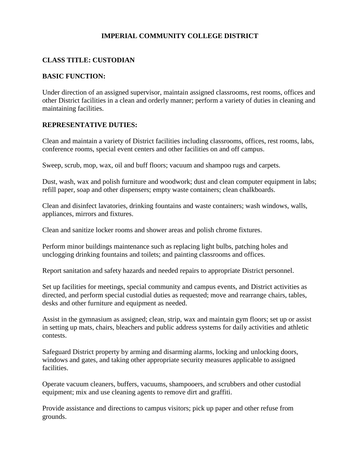# **IMPERIAL COMMUNITY COLLEGE DISTRICT**

## **CLASS TITLE: CUSTODIAN**

#### **BASIC FUNCTION:**

Under direction of an assigned supervisor, maintain assigned classrooms, rest rooms, offices and other District facilities in a clean and orderly manner; perform a variety of duties in cleaning and maintaining facilities.

#### **REPRESENTATIVE DUTIES:**

Clean and maintain a variety of District facilities including classrooms, offices, rest rooms, labs, conference rooms, special event centers and other facilities on and off campus.

Sweep, scrub, mop, wax, oil and buff floors; vacuum and shampoo rugs and carpets.

Dust, wash, wax and polish furniture and woodwork; dust and clean computer equipment in labs; refill paper, soap and other dispensers; empty waste containers; clean chalkboards.

Clean and disinfect lavatories, drinking fountains and waste containers; wash windows, walls, appliances, mirrors and fixtures.

Clean and sanitize locker rooms and shower areas and polish chrome fixtures.

Perform minor buildings maintenance such as replacing light bulbs, patching holes and unclogging drinking fountains and toilets; and painting classrooms and offices.

Report sanitation and safety hazards and needed repairs to appropriate District personnel.

Set up facilities for meetings, special community and campus events, and District activities as directed, and perform special custodial duties as requested; move and rearrange chairs, tables, desks and other furniture and equipment as needed.

Assist in the gymnasium as assigned; clean, strip, wax and maintain gym floors; set up or assist in setting up mats, chairs, bleachers and public address systems for daily activities and athletic contests.

Safeguard District property by arming and disarming alarms, locking and unlocking doors, windows and gates, and taking other appropriate security measures applicable to assigned facilities.

Operate vacuum cleaners, buffers, vacuums, shampooers, and scrubbers and other custodial equipment; mix and use cleaning agents to remove dirt and graffiti.

Provide assistance and directions to campus visitors; pick up paper and other refuse from grounds.